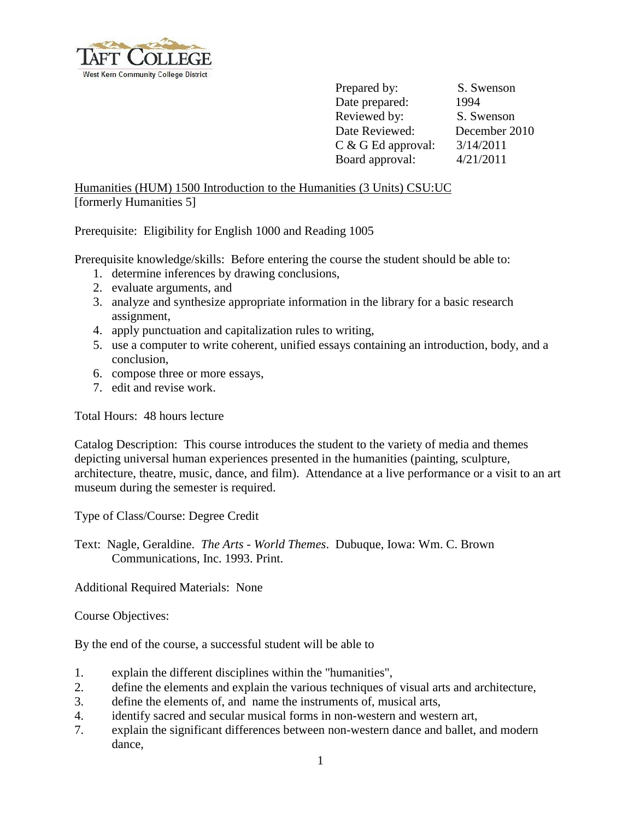

Prepared by: S. Swenson Date prepared: 1994 Reviewed by: S. Swenson Date Reviewed: December 2010 C & G Ed approval: 3/14/2011 Board approval: 4/21/2011

Humanities (HUM) 1500 Introduction to the Humanities (3 Units) CSU:UC [formerly Humanities 5]

Prerequisite: Eligibility for English 1000 and Reading 1005

Prerequisite knowledge/skills: Before entering the course the student should be able to:

- 1. determine inferences by drawing conclusions,
- 2. evaluate arguments, and
- 3. analyze and synthesize appropriate information in the library for a basic research assignment,
- 4. apply punctuation and capitalization rules to writing,
- 5. use a computer to write coherent, unified essays containing an introduction, body, and a conclusion,
- 6. compose three or more essays,
- 7. edit and revise work.

Total Hours: 48 hours lecture

Catalog Description: This course introduces the student to the variety of media and themes depicting universal human experiences presented in the humanities (painting, sculpture, architecture, theatre, music, dance, and film). Attendance at a live performance or a visit to an art museum during the semester is required.

Type of Class/Course: Degree Credit

Text: Nagle, Geraldine. *The Arts - World Themes*. Dubuque, Iowa: Wm. C. Brown Communications, Inc. 1993. Print.

Additional Required Materials: None

Course Objectives:

By the end of the course, a successful student will be able to

- 1. explain the different disciplines within the "humanities",
- 2. define the elements and explain the various techniques of visual arts and architecture,
- 3. define the elements of, and name the instruments of, musical arts,
- 4. identify sacred and secular musical forms in non-western and western art,
- 7. explain the significant differences between non-western dance and ballet, and modern dance,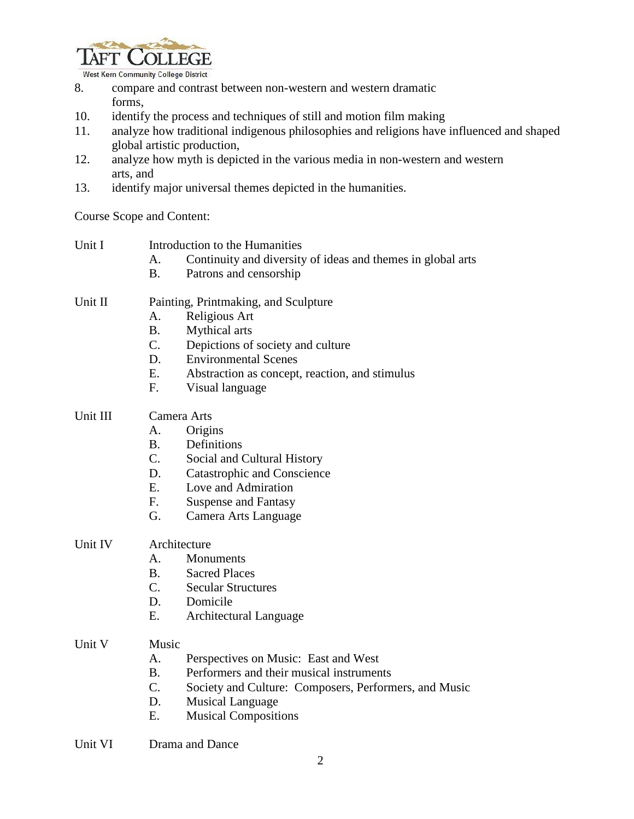

West Kern Community College District

- 8. compare and contrast between non-western and western dramatic forms,
- 10. identify the process and techniques of still and motion film making
- 11. analyze how traditional indigenous philosophies and religions have influenced and shaped global artistic production,
- 12. analyze how myth is depicted in the various media in non-western and western arts, and
- 13. identify major universal themes depicted in the humanities.

Course Scope and Content:

| Unit I   | Introduction to the Humanities       |                                                             |
|----------|--------------------------------------|-------------------------------------------------------------|
|          | А.                                   | Continuity and diversity of ideas and themes in global arts |
|          | <b>B.</b>                            | Patrons and censorship                                      |
| Unit II  | Painting, Printmaking, and Sculpture |                                                             |
|          | А.                                   | Religious Art                                               |
|          | <b>B.</b>                            | Mythical arts                                               |
|          | C.                                   | Depictions of society and culture                           |
|          | D.                                   | <b>Environmental Scenes</b>                                 |
|          | E.                                   | Abstraction as concept, reaction, and stimulus              |
|          | F.                                   | Visual language                                             |
| Unit III | Camera Arts                          |                                                             |
|          | А.                                   | Origins                                                     |
|          | <b>B.</b>                            | Definitions                                                 |
|          | C.                                   | Social and Cultural History                                 |
|          | D.                                   | <b>Catastrophic and Conscience</b>                          |
|          | E.                                   | Love and Admiration                                         |
|          | F.                                   | <b>Suspense and Fantasy</b>                                 |
|          | G.                                   | Camera Arts Language                                        |
| Unit IV  | Architecture                         |                                                             |
|          | A.                                   | Monuments                                                   |
|          | <b>B.</b>                            | <b>Sacred Places</b>                                        |
|          | C.                                   | <b>Secular Structures</b>                                   |
|          | D.                                   | Domicile                                                    |
|          | Ε.                                   | Architectural Language                                      |
| Unit V   | Music                                |                                                             |

- A. Perspectives on Music: East and West
- B. Performers and their musical instruments
- C. Society and Culture: Composers, Performers, and Music
- D. Musical Language
- E. Musical Compositions
- Unit VI Drama and Dance